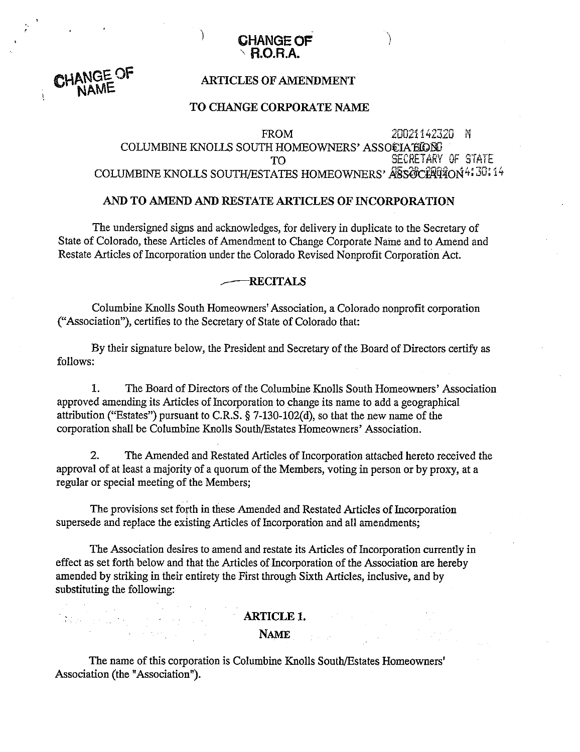

# CHANGE OF

adan yang men

 $\mathcal{A}$  , the company  $\mathcal{A}$ 

## ARTICLES OF AMENDMENT

## TO CHANGE CORPORATE NAME

COLUMBINE KNOLLS SOUTH HOMEOWNERS' ASSOCIATIVE OF STATE TO .5EiECfiETdiiY ".? "';-' aleit

## **AM)** TO AMEND *AND* RESTATE ARTICLES OF INCORPORATION

The undersigned signs and acknowledges, for delivery in duplicate to the Secretary of State of Colorado, these Articles of Amendment to Change Corporate Name and to Amend and Restate Articles of Incorporation under the Colorado Revised Nonprofit Corporation Act.

## **RECITALS**

Columbine Knolls South Homeowners' Association, a Colorado nonprofit corporation ("Association"), certifies to the Secretary of State of Colorado that:

By their signature below, the President and Secretary of the Board of Directors certify as follows:

**1.** The Board of Directors of the Columbine Knolls South Homeowners' Association approved amending its Articles of Incorporation to change its name to add a geographical attribution ("Estates") pursuant to C.R.S. **5** 7-130-102(d), so that the new name of the corporation shall be Columbine Knolls South/Estates Homeowners' Association.

2. The Amended and Restated Articles of Incorporation attached hereto received the approval of at least a majority of a quorum of the Members, voting in person or by proxy, at a regular or special meeting of the Members;

The provisions set forth in these Amended and Restated Articles of Incorporation supersede and replace the existing Articles of Incorporation and all amendments;

The Association desires to amend and restate its Articles of Incorporation currently in effect as set forth below and that the Articles of Incorporation of the Association are hereby amended by striking in their entirety the First through Sixth Articles, inclusive, and by substituting the following:

## ARTICLE **1.**

## **NAME**

The name of this corporation is Columbine Knolls South/Estates Homeowners' Association (the "Association").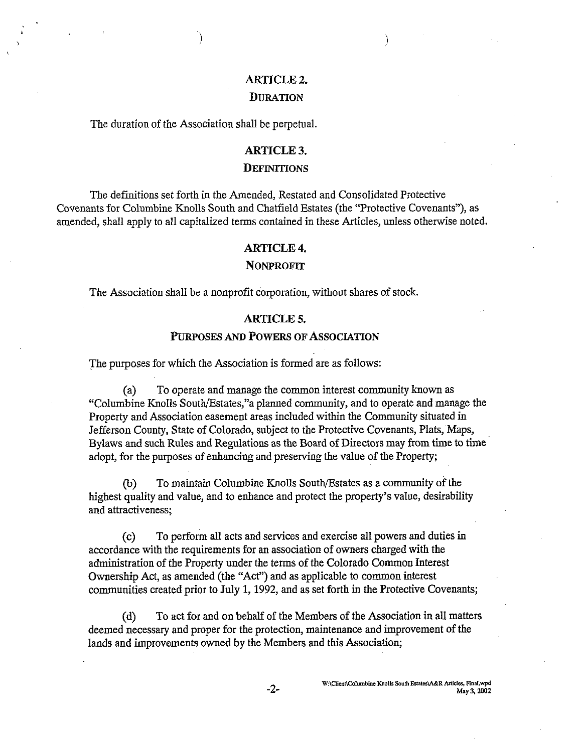# ARTICLE **2.**

Í

## **DURATION**

The duration of the Association shall be perpetual.

## ARTICLE 3.

## **DEFINITIONS**

The definitions set forth in the Amended, Restated and Consolidated Protective Covenants for Columbine Knolls South and Chatfield Estates (the "Protective Covenants"), as amended, shall apply to all capitalized terms contained in these Articles, unless otherwise noted.

#### ARTICLE 4.

#### **NONPROFIT**

The Association shall be a nonprofit corporation, without shares of stock.

#### ARTICLE 5.

#### **PURPOSES AM) POWERS OF ASSOCIATION**

The purposes for which the Association is formed are as follows:

(a) To operate and manage the common interest community known as "Columbine Knolls South/Estates,"a planned community, and to operate and manage the Property and Association easement areas included within the Community situated in Jefferson County, State of Colorado, subject to the Protective Covenants, Plats, Maps, Bylaws and such Rules and Regulations as the Board of Directors may from time to time adopt, for the purposes of enhancing and presewing the value of the Property;

@) To maintain Columbine Knolls South/Estates as a community of the highest quality and value, and to enhance and protect the property's value, desirability and attractiveness;

(c) To perform all acts and services and exercise all powers and duties in accordance with the requirements for an association of owners charged with the administration of the property under the terms of the Colorado Common Interest Ownership Act, as amended (the "Act") and as applicable to common interest communities created prior to July 1, 1992, and as set forth in the Protective Covenants;

(d) To act for and on behalf of the Members of the Association in **all** matters deemed necessary and proper for the protection, maintenance and improvement of the lands and improvements owned by the Members and this Association;

 $-2-$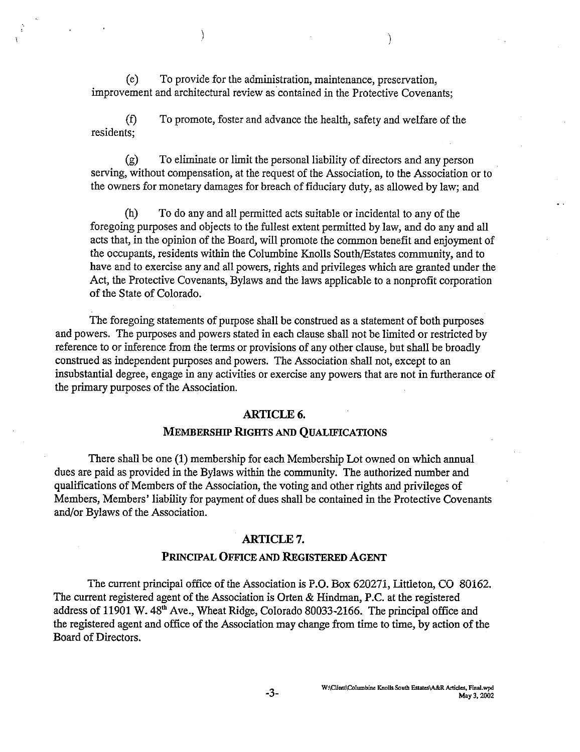(e) To provide for the administration, maintenance, preservation, improvement and architectural review as contained in the Protective Covenants;

 $\mathcal{E}$ 

**(f)** To promote, foster and advance the health, safety and welfare of the residents;

(g) To eliminate or limit the personal liability of directors and any person serving, without compensation, at the request of the Association, to the Association or to the owners for monetary damages for breach of fiduciary duty, as allowed by law; and

(h) To do any and all permitted acts suitable or incidental to any of the foregoing purposes and objects to the fullest extent permitted by law, and do any and all acts that, in the opinion of the Board, will promote the common benefit and enjoyment of the occupants, residents within the Columbine Knolls South/Estates community, and to have and to exercise any and all powers, rights and privileges which are granted under the Act, the Protective Covenants, Bylaws and the laws applicable to a nonprofit corporation of the State of Colorado.

The foregoing statements of purpose shall be construed as a statement of both purposes and powers. The purposes and powers stated **in** each clause shall not be limited or restricted by reference to or inference from the terms or provisions of any other clause, but shall be broadly construed as independent purposes and powers. The Association shall not, except to an insubstantial degree, engage in any activities or exercise any powers that are not in furtherance of the primary purposes of the Association.

#### **ARTICLE 6.**

#### **MEMBERSHIP RIGHTS AND QUALIFICATIONS**

There shall be one (1) membership for each Membership Lot owned on which annual dues are paid as provided in the Bylaws within the community. The authorized number and qualifications of Members of the Association, the voting and other rights and privileges of Members, Members' liability for payment of dues shall be contained in the Protective Covenants and/or Bylaws of the Association.

#### **ARTICLE 7.**

#### **PRINCIPAL OFFICE AND REGISTERED AGENT**

The current principal office of the Association is P.O. Box 620271, Littleton, CO 80162. The current registered agent of the Association is Orten & Hindman, P.C. at the registered address of 11901 W. 48<sup>th</sup> Ave., Wheat Ridge, Colorado 80033-2166. The principal office and the registered agent and office of the Association may change from time to time, by action of the Board of Directors.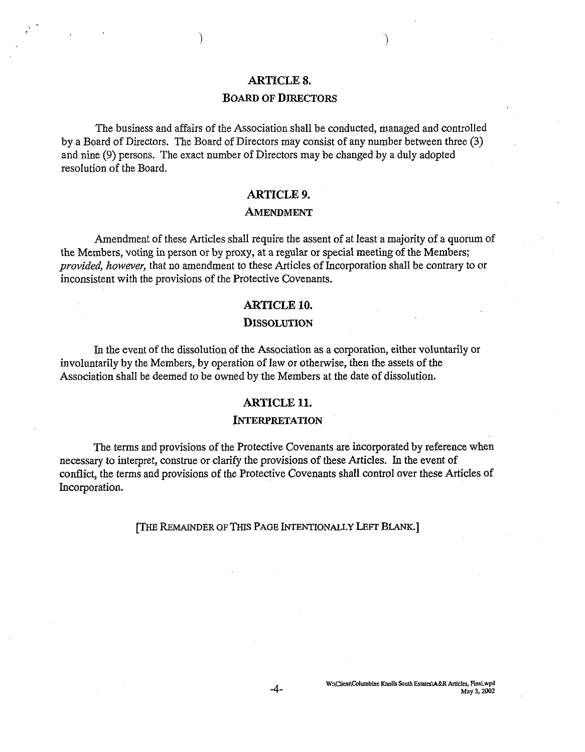## **ARTICLE 8.**

## **BOARD OF DIRECTORS**

The business and affairs of the Association shall be conducted, managed and controlled by a Board of Directors. The Board of Directors may consist of any number between three **(3)**  and nine (9) persons. The exact number of Directors may be changed by a duly adopted resolution of the Board.

#### **ARTICLE 9.**

#### **AMENDMENT**

Amendment of these Articles shall require the assent of at least a majority of a quorum of the Members, voting in person or by proxy, at a regular or special meeting of the Members; **provided,** *however,* that no amendment to these Articles of Incorporation shall be contrary to or inconsistent with the provisions of the Protective Covenants.

#### **ARTICLE 10.**

#### **DISSOLUTION**

In the event of the dissolution of the Association as a corporation, either voluntarily or involuntarily by the Members, by operation of law or otherwise, then the assets of the Association shall be deemed to be owned by the Members at the date of dissolution.

#### **ARTICLE 11.**

#### **INTERPRETATION**

The terms and provisions of the Protective Covenants are incorporated by reference when necessary to interpret, construe or clarify the provisions of these Articles. In the event of conflict, the terms and provisions of the Protective Covenants shall control over these Articles of Incorporation.

#### **[THE REMAINDER OF** THIS PAGE **INTENTIONALLY LEFT** BLANK.]

 $-4-$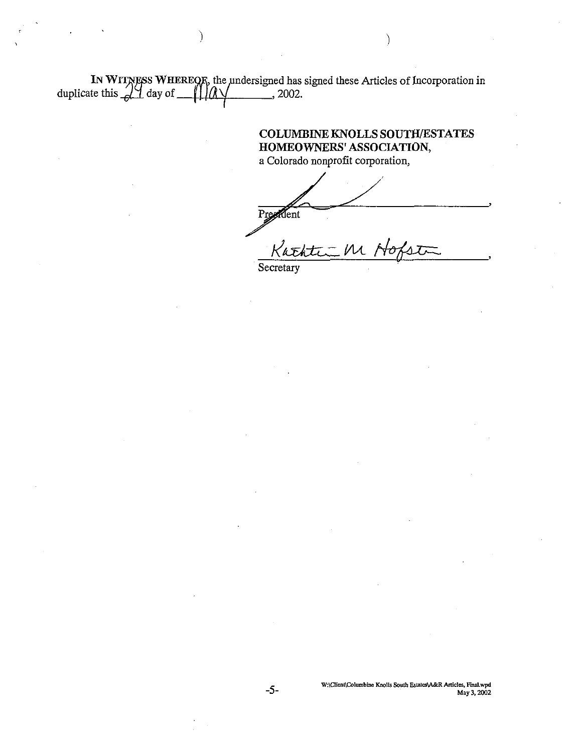IN WITNESS WHEREOR, the undersigned has signed these Articles of Incorporation in duplicate this  $\sqrt{24}$  day of  $\frac{1}{2}$ , 2002.

J.

COLUMBINE KNOLLS SOUTH/ESTATES HOMEOWNERS' ASSOCIATION, a Colorado nonprofit corporation,

President

Kathti M Ho  $S<sub>ecc</sub>$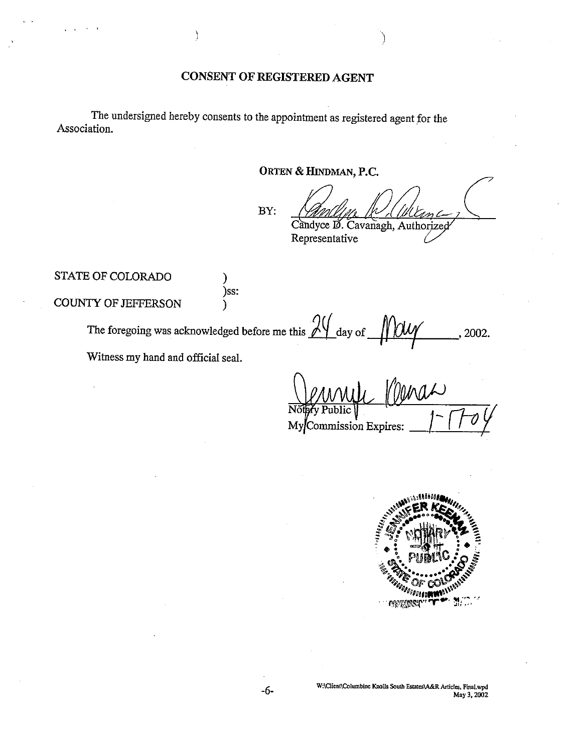## **CONSENT OF REGISTERED AGENT**

The undersigned hereby consents to the appointment as registered agent for the Association.

## **ORTEN** & **HINDMAN, P.C.** -

BY:

Candyce D. Cavanagh, Authorized

Representative

STATE OF COLORADO 1

COUNTY OF JEFFERSON  $\overrightarrow{\ }$ 

)ss:

OF COLORADO<br>
<br>
The foregoing was acknowledged before me this  $\frac{24}{\text{ day of}}$  **MUY** 2002.

Witness my hand and official seal.

MyCommission Expires:



WAClient\Columbine Knolls South Estates\A&R Articles, Final.wpd May 3, 2002